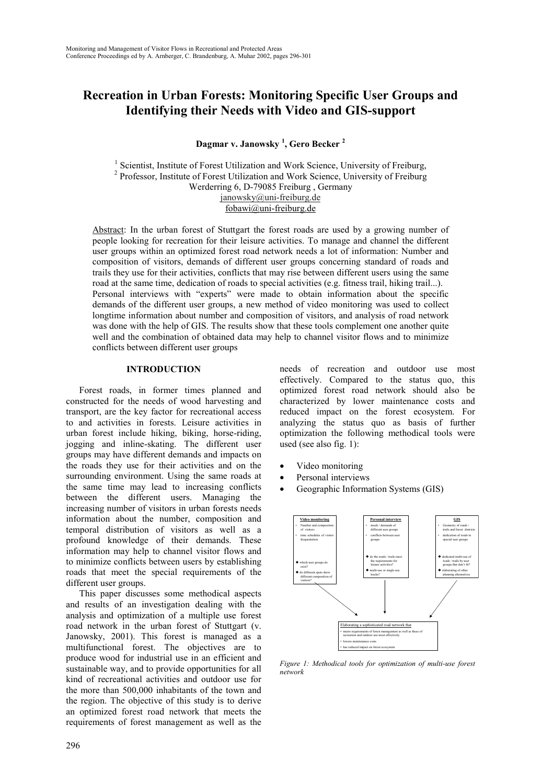# **Recreation in Urban Forests: Monitoring Specific User Groups and Identifying their Needs with Video and GIS-support**

**Dagmar v. Janowsky <sup>1</sup> , Gero Becker <sup>2</sup>**

<sup>1</sup> Scientist, Institute of Forest Utilization and Work Science, University of Freiburg, <sup>2</sup> Professor, Institute of Forest Utilization and Work Science, University of Freiburg Werderring 6, D-79085 Freiburg , Germany janowsky@uni-freiburg.de fobawi@uni-freiburg.de

Abstract: In the urban forest of Stuttgart the forest roads are used by a growing number of people looking for recreation for their leisure activities. To manage and channel the different user groups within an optimized forest road network needs a lot of information: Number and composition of visitors, demands of different user groups concerning standard of roads and trails they use for their activities, conflicts that may rise between different users using the same road at the same time, dedication of roads to special activities (e.g. fitness trail, hiking trail...). Personal interviews with "experts" were made to obtain information about the specific demands of the different user groups, a new method of video monitoring was used to collect longtime information about number and composition of visitors, and analysis of road network was done with the help of GIS. The results show that these tools complement one another quite well and the combination of obtained data may help to channel visitor flows and to minimize conflicts between different user groups

#### **INTRODUCTION**

Forest roads, in former times planned and constructed for the needs of wood harvesting and transport, are the key factor for recreational access to and activities in forests. Leisure activities in urban forest include hiking, biking, horse-riding, jogging and inline-skating. The different user groups may have different demands and impacts on the roads they use for their activities and on the surrounding environment. Using the same roads at the same time may lead to increasing conflicts between the different users. Managing the increasing number of visitors in urban forests needs information about the number, composition and temporal distribution of visitors as well as a profound knowledge of their demands. These information may help to channel visitor flows and to minimize conflicts between users by establishing roads that meet the special requirements of the different user groups.

This paper discusses some methodical aspects and results of an investigation dealing with the analysis and optimization of a multiple use forest road network in the urban forest of Stuttgart (v. Janowsky, 2001). This forest is managed as a multifunctional forest. The objectives are to produce wood for industrial use in an efficient and sustainable way, and to provide opportunities for all kind of recreational activities and outdoor use for the more than 500,000 inhabitants of the town and the region. The objective of this study is to derive an optimized forest road network that meets the requirements of forest management as well as the

needs of recreation and outdoor use most effectively. Compared to the status quo, this optimized forest road network should also be characterized by lower maintenance costs and reduced impact on the forest ecosystem. For analyzing the status quo as basis of further optimization the following methodical tools were used (see also fig. 1):

- Video monitoring
- Personal interviews
- Geographic Information Systems (GIS)



*Figure 1: Methodical tools for optimization of multi-use forest network*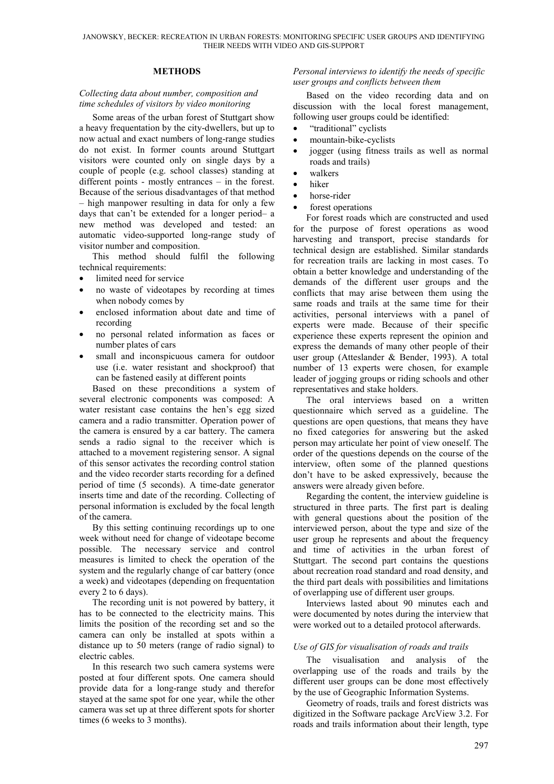#### **METHODS**

#### *Collecting data about number, composition and time schedules of visitors by video monitoring*

Some areas of the urban forest of Stuttgart show a heavy frequentation by the city-dwellers, but up to now actual and exact numbers of long-range studies do not exist. In former counts around Stuttgart visitors were counted only on single days by a couple of people (e.g. school classes) standing at different points - mostly entrances – in the forest. Because of the serious disadvantages of that method – high manpower resulting in data for only a few days that can't be extended for a longer period– a new method was developed and tested: an automatic video-supported long-range study of visitor number and composition.

This method should fulfil the following technical requirements:

- limited need for service
- no waste of videotapes by recording at times when nobody comes by
- enclosed information about date and time of recording
- no personal related information as faces or number plates of cars
- small and inconspicuous camera for outdoor use (i.e. water resistant and shockproof) that can be fastened easily at different points

Based on these preconditions a system of several electronic components was composed: A water resistant case contains the hen's egg sized camera and a radio transmitter. Operation power of the camera is ensured by a car battery. The camera sends a radio signal to the receiver which is attached to a movement registering sensor. A signal of this sensor activates the recording control station and the video recorder starts recording for a defined period of time (5 seconds). A time-date generator inserts time and date of the recording. Collecting of personal information is excluded by the focal length of the camera.

By this setting continuing recordings up to one week without need for change of videotape become possible. The necessary service and control measures is limited to check the operation of the system and the regularly change of car battery (once a week) and videotapes (depending on frequentation every 2 to 6 days).

The recording unit is not powered by battery, it has to be connected to the electricity mains. This limits the position of the recording set and so the camera can only be installed at spots within a distance up to 50 meters (range of radio signal) to electric cables.

In this research two such camera systems were posted at four different spots. One camera should provide data for a long-range study and therefor stayed at the same spot for one year, while the other camera was set up at three different spots for shorter times (6 weeks to 3 months).

#### *Personal interviews to identify the needs of specific user groups and conflicts between them*

Based on the video recording data and on discussion with the local forest management, following user groups could be identified:

- "traditional" cyclists
- mountain-bike-cyclists
- jogger (using fitness trails as well as normal roads and trails)
- walkers
- hiker
- horse-rider
- forest operations

For forest roads which are constructed and used for the purpose of forest operations as wood harvesting and transport, precise standards for technical design are established. Similar standards for recreation trails are lacking in most cases. To obtain a better knowledge and understanding of the demands of the different user groups and the conflicts that may arise between them using the same roads and trails at the same time for their activities, personal interviews with a panel of experts were made. Because of their specific experience these experts represent the opinion and express the demands of many other people of their user group (Atteslander & Bender, 1993). A total number of 13 experts were chosen, for example leader of jogging groups or riding schools and other representatives and stake holders.

The oral interviews based on a written questionnaire which served as a guideline. The questions are open questions, that means they have no fixed categories for answering but the asked person may articulate her point of view oneself. The order of the questions depends on the course of the interview, often some of the planned questions don't have to be asked expressively, because the answers were already given before.

Regarding the content, the interview guideline is structured in three parts. The first part is dealing with general questions about the position of the interviewed person, about the type and size of the user group he represents and about the frequency and time of activities in the urban forest of Stuttgart. The second part contains the questions about recreation road standard and road density, and the third part deals with possibilities and limitations of overlapping use of different user groups.

Interviews lasted about 90 minutes each and were documented by notes during the interview that were worked out to a detailed protocol afterwards.

## *Use of GIS for visualisation of roads and trails*

The visualisation and analysis of the overlapping use of the roads and trails by the different user groups can be done most effectively by the use of Geographic Information Systems.

Geometry of roads, trails and forest districts was digitized in the Software package ArcView 3.2. For roads and trails information about their length, type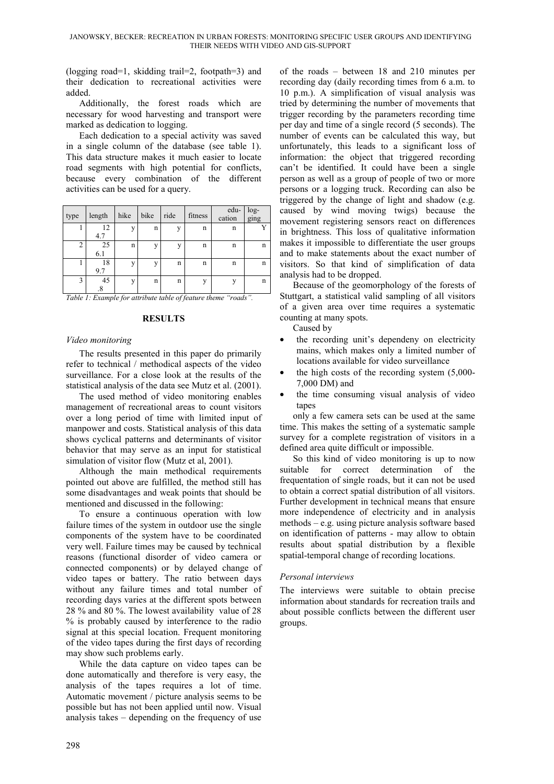(logging road=1, skidding trail=2, footpath=3) and their dedication to recreational activities were added.

Additionally, the forest roads which are necessary for wood harvesting and transport were marked as dedication to logging.

Each dedication to a special activity was saved in a single column of the database (see table 1). This data structure makes it much easier to locate road segments with high potential for conflicts, because every combination of the different activities can be used for a query.

| type           | length    | hike         | bike           | ride         | fitness | edu-<br>cation | log-<br>ging |
|----------------|-----------|--------------|----------------|--------------|---------|----------------|--------------|
|                | 12<br>4.7 | $\mathbf{V}$ | n              | $\mathbf{V}$ | n       | n              |              |
| $\overline{2}$ | 25<br>6.1 | n            | $\overline{V}$ | v            | n       | n              | n            |
|                | 18<br>9.7 | $\mathbf{V}$ | $\mathbf{V}$   | n            | n       | n              | n            |
| 3              | 45        | $\mathbf{V}$ | n              | n            | v       |                | n            |

*Table 1: Example for attribute table of feature theme "roads".*

## **RESULTS**

## *Video monitoring*

The results presented in this paper do primarily refer to technical / methodical aspects of the video surveillance. For a close look at the results of the statistical analysis of the data see Mutz et al. (2001).

The used method of video monitoring enables management of recreational areas to count visitors over a long period of time with limited input of manpower and costs. Statistical analysis of this data shows cyclical patterns and determinants of visitor behavior that may serve as an input for statistical simulation of visitor flow (Mutz et al, 2001).

Although the main methodical requirements pointed out above are fulfilled, the method still has some disadvantages and weak points that should be mentioned and discussed in the following:

To ensure a continuous operation with low failure times of the system in outdoor use the single components of the system have to be coordinated very well. Failure times may be caused by technical reasons (functional disorder of video camera or connected components) or by delayed change of video tapes or battery. The ratio between days without any failure times and total number of recording days varies at the different spots between 28 % and 80 %. The lowest availability value of 28 % is probably caused by interference to the radio signal at this special location. Frequent monitoring of the video tapes during the first days of recording may show such problems early.

While the data capture on video tapes can be done automatically and therefore is very easy, the analysis of the tapes requires a lot of time. Automatic movement / picture analysis seems to be possible but has not been applied until now. Visual analysis takes – depending on the frequency of use

of the roads – between 18 and 210 minutes per recording day (daily recording times from 6 a.m. to 10 p.m.). A simplification of visual analysis was tried by determining the number of movements that trigger recording by the parameters recording time per day and time of a single record (5 seconds). The number of events can be calculated this way, but unfortunately, this leads to a significant loss of information: the object that triggered recording can't be identified. It could have been a single person as well as a group of people of two or more persons or a logging truck. Recording can also be triggered by the change of light and shadow (e.g. caused by wind moving twigs) because the movement registering sensors react on differences in brightness. This loss of qualitative information makes it impossible to differentiate the user groups and to make statements about the exact number of visitors. So that kind of simplification of data analysis had to be dropped.

Because of the geomorphology of the forests of Stuttgart, a statistical valid sampling of all visitors of a given area over time requires a systematic counting at many spots.

Caused by

- the recording unit's dependeny on electricity mains, which makes only a limited number of locations available for video surveillance
- the high costs of the recording system  $(5,000-$ 7,000 DM) and
- the time consuming visual analysis of video tapes

only a few camera sets can be used at the same time. This makes the setting of a systematic sample survey for a complete registration of visitors in a defined area quite difficult or impossible.

So this kind of video monitoring is up to now suitable for correct determination of the frequentation of single roads, but it can not be used to obtain a correct spatial distribution of all visitors. Further development in technical means that ensure more independence of electricity and in analysis methods – e.g. using picture analysis software based on identification of patterns - may allow to obtain results about spatial distribution by a flexible spatial-temporal change of recording locations.

## *Personal interviews*

The interviews were suitable to obtain precise information about standards for recreation trails and about possible conflicts between the different user groups.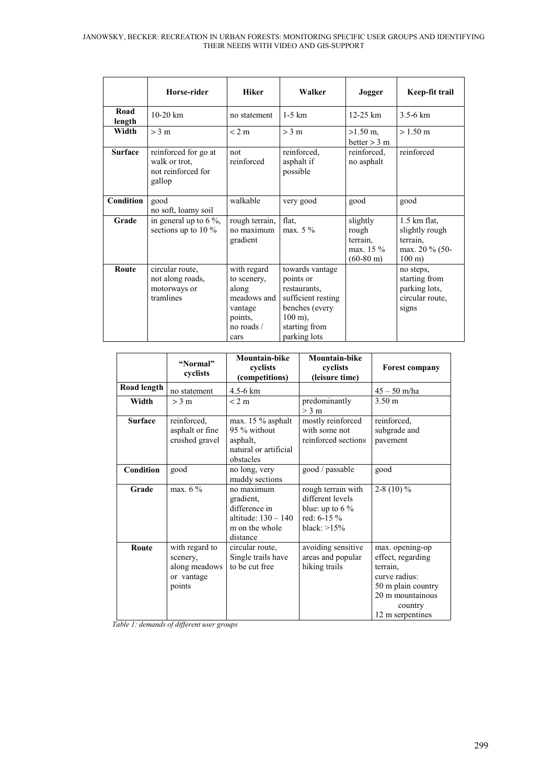|                | Horse-rider                                                           | <b>Hiker</b>                                                                                   | Walker                                                                                                                                      | Jogger                                                            | Keep-fit trail                                                                      |
|----------------|-----------------------------------------------------------------------|------------------------------------------------------------------------------------------------|---------------------------------------------------------------------------------------------------------------------------------------------|-------------------------------------------------------------------|-------------------------------------------------------------------------------------|
| Road<br>length | $10-20$ km                                                            | no statement                                                                                   | $1-5$ km                                                                                                                                    | $12-25$ km                                                        | $3.5 - 6 km$                                                                        |
| Width          | $>$ 3 m                                                               | < 2 m                                                                                          | > 3 m                                                                                                                                       | $>1.50$ m,<br>better $> 3$ m                                      | $> 1.50 \text{ m}$                                                                  |
| <b>Surface</b> | reinforced for go at<br>walk or trot,<br>not reinforced for<br>gallop | not<br>reinforced                                                                              | reinforced,<br>asphalt if<br>possible                                                                                                       | reinforced.<br>no asphalt                                         | reinforced                                                                          |
| Condition      | good<br>no soft, loamy soil                                           | walkable                                                                                       | very good                                                                                                                                   | good                                                              | good                                                                                |
| Grade          | in general up to $6\%$ ,<br>sections up to 10 $\%$                    | rough terrain,<br>no maximum<br>gradient                                                       | flat,<br>max. $5\%$                                                                                                                         | slightly<br>rough<br>terrain,<br>max. 15 %<br>$(60-80 \text{ m})$ | $1.5$ km flat,<br>slightly rough<br>terrain.<br>max. 20 % (50-<br>$100 \text{ m}$ ) |
| Route          | circular route,<br>not along roads,<br>motorways or<br>tramlines      | with regard<br>to scenery,<br>along<br>meadows and<br>vantage<br>points,<br>no roads /<br>cars | towards vantage<br>points or<br>restaurants,<br>sufficient resting<br>benches (every<br>$100 \text{ m}$ ),<br>starting from<br>parking lots |                                                                   | no steps,<br>starting from<br>parking lots,<br>circular route,<br>signs             |

|                | "Normal"<br>cyclists                                                | <b>Mountain-bike</b><br>cyclists<br>(competitions)                                              | Mountain-bike<br>cyclists<br>(leisure time)                                                    | <b>Forest company</b>                                                                                                                      |
|----------------|---------------------------------------------------------------------|-------------------------------------------------------------------------------------------------|------------------------------------------------------------------------------------------------|--------------------------------------------------------------------------------------------------------------------------------------------|
| Road length    | no statement                                                        | 4.5-6 km                                                                                        |                                                                                                | $45 - 50$ m/ha                                                                                                                             |
| Width          | $>$ 3 m                                                             | < 2 m                                                                                           | predominantly<br>$>$ 3 m                                                                       | $3.50 \text{ m}$                                                                                                                           |
| <b>Surface</b> | reinforced.<br>asphalt or fine<br>crushed gravel                    | max. 15 % asphalt<br>95 % without<br>asphalt,<br>natural or artificial<br>obstacles             | mostly reinforced<br>with some not<br>reinforced sections                                      | reinforced,<br>subgrade and<br>pavement                                                                                                    |
| Condition      | good                                                                | no long, very<br>muddy sections                                                                 | good / passable                                                                                | good                                                                                                                                       |
| Grade          | max. $6\overline{\%}$                                               | no maximum<br>gradient,<br>difference in<br>altitude: $130 - 140$<br>m on the whole<br>distance | rough terrain with<br>different levels<br>blue: up to $6\%$<br>red: $6-15\%$<br>black: $>15\%$ | 2-8 (10) $%$                                                                                                                               |
| Route          | with regard to<br>scenery,<br>along meadows<br>or vantage<br>points | circular route,<br>Single trails have<br>to be cut free                                         | avoiding sensitive<br>areas and popular<br>hiking trails                                       | max. opening-op<br>effect, regarding<br>terrain.<br>curve radius:<br>50 m plain country<br>20 m mountainous<br>country<br>12 m serpentines |

*Table 1: demands of different user groups*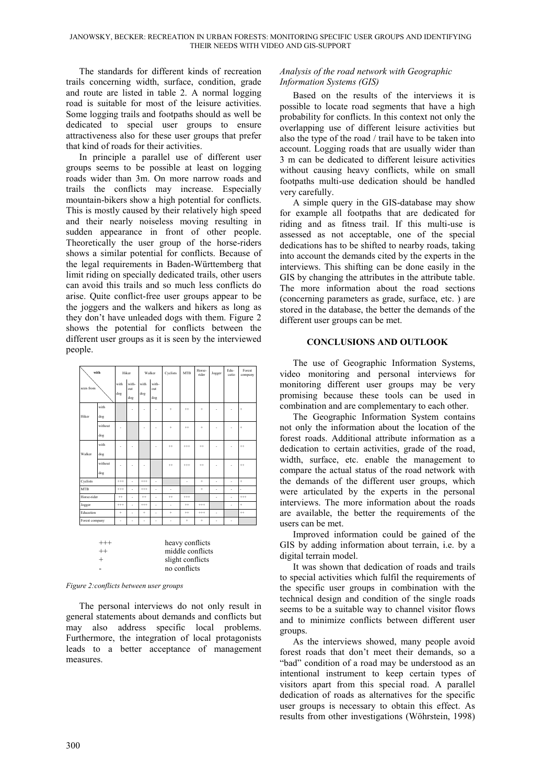The standards for different kinds of recreation trails concerning width, surface, condition, grade and route are listed in table 2. A normal logging road is suitable for most of the leisure activities. Some logging trails and footpaths should as well be dedicated to special user groups to ensure attractiveness also for these user groups that prefer that kind of roads for their activities.

In principle a parallel use of different user groups seems to be possible at least on logging roads wider than 3m. On more narrow roads and trails the conflicts may increase. Especially mountain-bikers show a high potential for conflicts. This is mostly caused by their relatively high speed and their nearly noiseless moving resulting in sudden appearance in front of other people. Theoretically the user group of the horse-riders shows a similar potential for conflicts. Because of the legal requirements in Baden-Württemberg that limit riding on specially dedicated trails, other users can avoid this trails and so much less conflicts do arise. Quite conflict-free user groups appear to be the joggers and the walkers and hikers as long as they don't have unleaded dogs with them. Figure 2 shows the potential for conflicts between the different user groups as it is seen by the interviewed people.

| with           |                                                                                          | Hiker       |                     | Walker      |                     | Cyclists  | <b>MTR</b> | Horse-<br>rider | Jogger | Edu-<br>catio | Forest<br>company |
|----------------|------------------------------------------------------------------------------------------|-------------|---------------------|-------------|---------------------|-----------|------------|-----------------|--------|---------------|-------------------|
| seen from      |                                                                                          | with<br>dog | with-<br>out<br>dog | with<br>dog | with-<br>out<br>dog |           |            |                 |        |               |                   |
| Hiker          | with<br>dog                                                                              |             | ä,                  | ٠           | ٠                   | ÷         | $^{++}$    | $\ddot{}$       | ٠      |               | $\ddot{}$         |
|                | without<br>dog                                                                           | ٠           |                     | ä,          | ä,                  | $\ddot{}$ | $^{++}$    | $\ddot{}$       | ä,     |               | $\ddot{}$         |
| Walker         | with<br>dog                                                                              | ٠           | ×,                  |             | ä,                  | $^{++}$   | $^{++}$    | $^{++}$         | ä,     | ä,            | $^{++}$           |
|                | without<br>dog                                                                           | ×           | ×,                  | ä,          |                     | $^{++}$   | $^{+++}$   | $^{++}$         | ×,     |               | $^{++}$           |
| Cyclists       |                                                                                          | $^{++}$     | ä,                  | $^{++}$     | ä,                  |           | ä,         | $\ddot{}$       | ä,     | ä,            | $\ddot{}$         |
| <b>MTR</b>     |                                                                                          | $^{++}$     | ä,                  | $^{++}$     | ä,                  | ä,        |            | ÷               | ä,     | ä,            | ä,                |
| Horse-rider    |                                                                                          | $^{++}$     | ä,                  | $^{++}$     | ä,                  | $^{++}$   | $^{++}$    |                 | ä,     | ä,            | $^{++}$           |
| Jogger         |                                                                                          | $^{++}$     | ä,                  | $^{***}$    | ä,                  | ä,        | $^{++}$    | $^{++}$         |        | ä,            | $\ddot{}$         |
| Education      |                                                                                          | $\ddot{}$   | ä,                  | $\ddot{}$   | ä,                  | $\ddot{}$ | $^{++}$    | $^{++}$         | ä,     |               | $^{++}$           |
| Forest company |                                                                                          | ä,          | ä,                  | ä,          | ä,                  | ä,        | $\ddot{}$  | $\ddot{}$       | ä,     | ä,            |                   |
|                | heavy conflicts<br>$^{+++}$<br>middle conflicts<br>$^{++}$<br>$^{+}$<br>slight conflicts |             |                     |             |                     |           |            |                 |        |               |                   |

| <i>Figure 2: conflicts between user groups</i> |  |  |
|------------------------------------------------|--|--|
|                                                |  |  |

The personal interviews do not only result in general statements about demands and conflicts but may also address specific local problems. Furthermore, the integration of local protagonists leads to a better acceptance of management measures.

slight conflicts - no conflicts

#### *Analysis of the road network with Geographic Information Systems (GIS)*

Based on the results of the interviews it is possible to locate road segments that have a high probability for conflicts. In this context not only the overlapping use of different leisure activities but also the type of the road / trail have to be taken into account. Logging roads that are usually wider than 3 m can be dedicated to different leisure activities without causing heavy conflicts, while on small footpaths multi-use dedication should be handled very carefully.

A simple query in the GIS-database may show for example all footpaths that are dedicated for riding and as fitness trail. If this multi-use is assessed as not acceptable, one of the special dedications has to be shifted to nearby roads, taking into account the demands cited by the experts in the interviews. This shifting can be done easily in the GIS by changing the attributes in the attribute table. The more information about the road sections (concerning parameters as grade, surface, etc. ) are stored in the database, the better the demands of the different user groups can be met.

## **CONCLUSIONS AND OUTLOOK**

The use of Geographic Information Systems, video monitoring and personal interviews for monitoring different user groups may be very promising because these tools can be used in combination and are complementary to each other.

The Geographic Information System contains not only the information about the location of the forest roads. Additional attribute information as a dedication to certain activities, grade of the road, width, surface, etc. enable the management to compare the actual status of the road network with the demands of the different user groups, which were articulated by the experts in the personal interviews. The more information about the roads are available, the better the requirements of the users can be met.

Improved information could be gained of the GIS by adding information about terrain, i.e. by a digital terrain model.

It was shown that dedication of roads and trails to special activities which fulfil the requirements of the specific user groups in combination with the technical design and condition of the single roads seems to be a suitable way to channel visitor flows and to minimize conflicts between different user groups.

As the interviews showed, many people avoid forest roads that don't meet their demands, so a "bad" condition of a road may be understood as an intentional instrument to keep certain types of visitors apart from this special road. A parallel dedication of roads as alternatives for the specific user groups is necessary to obtain this effect. As results from other investigations (Wöhrstein, 1998)